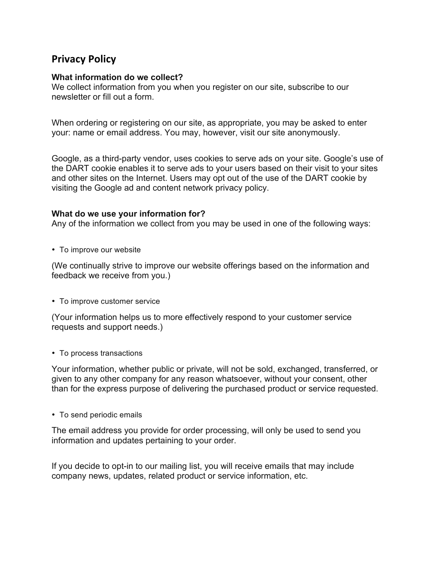# **Privacy Policy**

# **What information do we collect?**

We collect information from you when you register on our site, subscribe to our newsletter or fill out a form.

When ordering or registering on our site, as appropriate, you may be asked to enter your: name or email address. You may, however, visit our site anonymously.

Google, as a third-party vendor, uses cookies to serve ads on your site. Google's use of the DART cookie enables it to serve ads to your users based on their visit to your sites and other sites on the Internet. Users may opt out of the use of the DART cookie by visiting the Google ad and content network privacy policy.

#### **What do we use your information for?**

Any of the information we collect from you may be used in one of the following ways:

• To improve our website

(We continually strive to improve our website offerings based on the information and feedback we receive from you.)

• To improve customer service

(Your information helps us to more effectively respond to your customer service requests and support needs.)

• To process transactions

Your information, whether public or private, will not be sold, exchanged, transferred, or given to any other company for any reason whatsoever, without your consent, other than for the express purpose of delivering the purchased product or service requested.

• To send periodic emails

The email address you provide for order processing, will only be used to send you information and updates pertaining to your order.

If you decide to opt-in to our mailing list, you will receive emails that may include company news, updates, related product or service information, etc.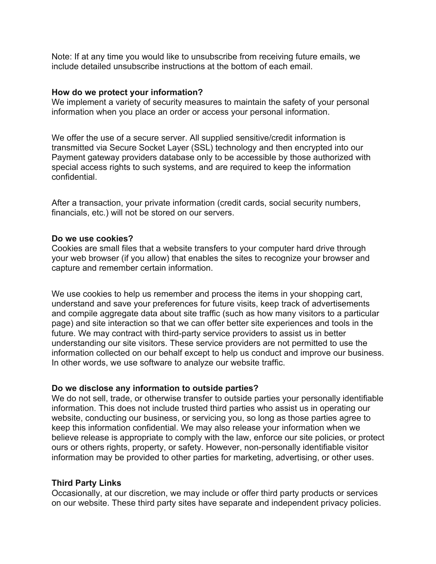Note: If at any time you would like to unsubscribe from receiving future emails, we include detailed unsubscribe instructions at the bottom of each email.

#### **How do we protect your information?**

We implement a variety of security measures to maintain the safety of your personal information when you place an order or access your personal information.

We offer the use of a secure server. All supplied sensitive/credit information is transmitted via Secure Socket Layer (SSL) technology and then encrypted into our Payment gateway providers database only to be accessible by those authorized with special access rights to such systems, and are required to keep the information confidential.

After a transaction, your private information (credit cards, social security numbers, financials, etc.) will not be stored on our servers.

## **Do we use cookies?**

Cookies are small files that a website transfers to your computer hard drive through your web browser (if you allow) that enables the sites to recognize your browser and capture and remember certain information.

We use cookies to help us remember and process the items in your shopping cart, understand and save your preferences for future visits, keep track of advertisements and compile aggregate data about site traffic (such as how many visitors to a particular page) and site interaction so that we can offer better site experiences and tools in the future. We may contract with third-party service providers to assist us in better understanding our site visitors. These service providers are not permitted to use the information collected on our behalf except to help us conduct and improve our business. In other words, we use software to analyze our website traffic.

# **Do we disclose any information to outside parties?**

We do not sell, trade, or otherwise transfer to outside parties your personally identifiable information. This does not include trusted third parties who assist us in operating our website, conducting our business, or servicing you, so long as those parties agree to keep this information confidential. We may also release your information when we believe release is appropriate to comply with the law, enforce our site policies, or protect ours or others rights, property, or safety. However, non-personally identifiable visitor information may be provided to other parties for marketing, advertising, or other uses.

# **Third Party Links**

Occasionally, at our discretion, we may include or offer third party products or services on our website. These third party sites have separate and independent privacy policies.